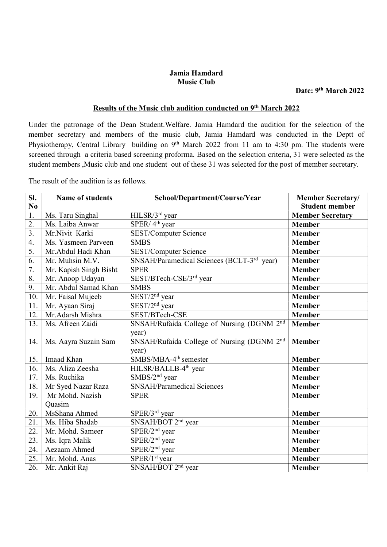## Jamia Hamdard Music Club

## Results of the Music club audition conducted on 9<sup>th</sup> March 2022

Under the patronage of the Dean Student.Welfare. Jamia Hamdard the audition for the selection of the member secretary and members of the music club, Jamia Hamdard was conducted in the Deptt of Physiotherapy, Central Library building on 9<sup>th</sup> March 2022 from 11 am to 4:30 pm. The students were screened through a criteria based screening proforma. Based on the selection criteria, 31 were selected as the student members ,Music club and one student out of these 31 was selected for the post of member secretary.

The result of the audition is as follows.

| Sl.<br>N <sub>0</sub> | Name of students       | School/Department/Course/Year                          | <b>Member Secretary/</b><br><b>Student member</b> |
|-----------------------|------------------------|--------------------------------------------------------|---------------------------------------------------|
| $\overline{1}$ .      | Ms. Taru Singhal       | HILSR/3 <sup>rd</sup> year                             | <b>Member Secretary</b>                           |
| 2.                    | Ms. Laiba Anwar        | SPER/4 <sup>th</sup> year                              | <b>Member</b>                                     |
| $\overline{3}$ .      | Mr.Nivit Karki         | SEST/Computer Science                                  | <b>Member</b>                                     |
| 4.                    | Ms. Yasmeen Parveen    | <b>SMBS</b>                                            | <b>Member</b>                                     |
| 5.                    | Mr.Abdul Hadi Khan     | SEST/Computer Science                                  | <b>Member</b>                                     |
| 6.                    | Mr. Muhsin M.V.        | SNSAH/Paramedical Sciences (BCLT-3rd year)             | <b>Member</b>                                     |
| $\overline{7}$ .      | Mr. Kapish Singh Bisht | <b>SPER</b>                                            | <b>Member</b>                                     |
| $\overline{8}$ .      | Mr. Anoop Udayan       | SEST/BTech-CSE/3rd year                                | <b>Member</b>                                     |
| 9.                    | Mr. Abdul Samad Khan   | <b>SMBS</b>                                            | <b>Member</b>                                     |
| 10.                   | Mr. Faisal Mujeeb      | $SEST/2nd$ year                                        | <b>Member</b>                                     |
| 11.                   | Mr. Ayaan Siraj        | SEST/2 <sup>nd</sup> year                              | <b>Member</b>                                     |
| 12.                   | Mr.Adarsh Mishra       | SEST/BTech-CSE                                         | <b>Member</b>                                     |
| 13.                   | Ms. Afreen Zaidi       | SNSAH/Rufaida College of Nursing (DGNM 2nd             | <b>Member</b>                                     |
|                       |                        | year)                                                  |                                                   |
| 14.                   | Ms. Aayra Suzain Sam   | SNSAH/Rufaida College of Nursing (DGNM 2 <sup>nd</sup> | <b>Member</b>                                     |
|                       |                        | year)                                                  |                                                   |
| 15.                   | Imaad Khan             | SMBS/MBA-4 <sup>th</sup> semester                      | Member                                            |
| 16.                   | Ms. Aliza Zeesha       | HILSR/BALLB-4 <sup>th</sup> year                       | <b>Member</b>                                     |
| 17.                   | Ms. Ruchika            | SMBS/2 <sup>nd</sup> year                              | Member                                            |
| 18.                   | Mr Syed Nazar Raza     | SNSAH/Paramedical Sciences                             | <b>Member</b>                                     |
| 19.                   | Mr Mohd. Nazish        | <b>SPER</b>                                            | Member                                            |
|                       | Quasim                 |                                                        |                                                   |
| 20.                   | MsShana Ahmed          | SPER/3rd year                                          | <b>Member</b>                                     |
| 21.                   | Ms. Hiba Shadab        | SNSAH/BOT 2 <sup>nd</sup> year                         | <b>Member</b>                                     |
| 22.                   | Mr. Mohd. Sameer       | $SPER/2nd$ year                                        | Member                                            |
| 23.                   | Ms. Iqra Malik         | SPER/2 <sup>nd</sup> year                              | <b>Member</b>                                     |
| 24.                   | Aezaam Ahmed           | SPER/2 <sup>nd</sup> year                              | Member                                            |
| 25.                   | Mr. Mohd. Anas         | SPER/1 <sup>st</sup> year                              | Member                                            |
| 26.                   | Mr. Ankit Raj          | SNSAH/BOT 2 <sup>nd</sup> year                         | Member                                            |